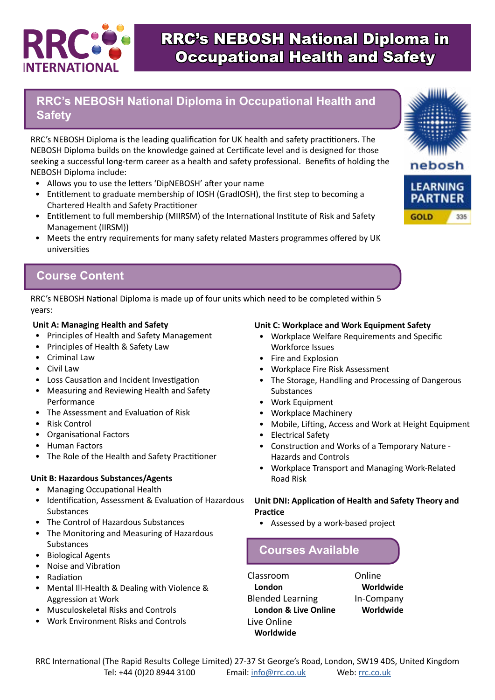

RRC's NEBOSH Diploma is the leading qualification for UK health and safety practitioners. The NEBOSH Diploma builds on the knowledge gained at Certificate level and is designed for those seeking a successful long-term career as a health and safety professional. Benefits of holding the NEBOSH Diploma include:

- Allows you to use the letters 'DipNEBOSH' after your name
- Entitlement to graduate membership of IOSH (GradIOSH), the first step to becoming a Chartered Health and Safety Practitioner
- Entitlement to full membership (MIIRSM) of the International Institute of Risk and Safety Management (IIRSM))
- Meets the entry requirements for many safety related Masters programmes offered by UK universities



#### **Course Content**

RRC's NEBOSH National Diploma is made up of four units which need to be completed within 5 years:

#### **Unit A: Managing Health and Safety**

- Principles of Health and Safety Management
- Principles of Health & Safety Law
- Criminal Law
- Civil Law
- Loss Causation and Incident Investigation
- Measuring and Reviewing Health and Safety Performance
- The Assessment and Evaluation of Risk
- Risk Control
- Organisational Factors
- Human Factors
- The Role of the Health and Safety Practitioner

#### **Unit B: Hazardous Substances/Agents**

- Managing Occupational Health
- Identification, Assessment & Evaluation of Hazardous Substances
- The Control of Hazardous Substances
- The Monitoring and Measuring of Hazardous Substances
- Biological Agents
- Noise and Vibration
- Radiation
- Mental Ill-Health & Dealing with Violence & Aggression at Work
- Musculoskeletal Risks and Controls
- Work Environment Risks and Controls

#### **Unit C: Workplace and Work Equipment Safety**

- Workplace Welfare Requirements and Specific Workforce Issues
- Fire and Explosion
- Workplace Fire Risk Assessment
- The Storage, Handling and Processing of Dangerous Substances
- Work Equipment
- Workplace Machinery
- Mobile, Lifting, Access and Work at Height Equipment
- Electrical Safety
- Construction and Works of a Temporary Nature Hazards and Controls
- Workplace Transport and Managing Work-Related Road Risk

#### **Unit DNI: Application of Health and Safety Theory and Practice**

• Assessed by a work-based project

# **Courses Available**

Classroom **London** Blended Learning **London & Live Online** Live Online **Worldwide**

Online **Worldwide** In-Company **Worldwide**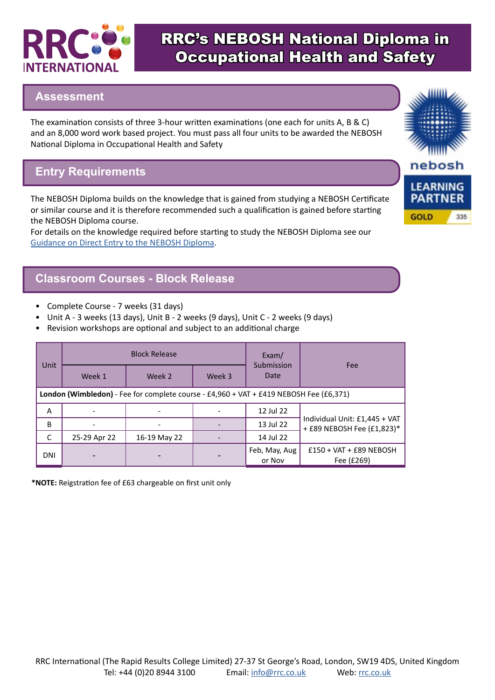

#### **Assessment**

The examination consists of three 3-hour written examinations (one each for units A, B & C) and an 8,000 word work based project. You must pass all four units to be awarded the NEBOSH National Diploma in Occupational Health and Safety

## **Entry Requirements**

The NEBOSH Diploma builds on the knowledge that is gained from studying a NEBOSH Certificate or similar course and it is therefore recommended such a qualification is gained before starting the NEBOSH Diploma course.

For details on the knowledge required before starting to study the NEBOSH Diploma see our [Guidance on Direct Entry to the NEBOSH Diploma.](mailto:info%40rrc.co.uk?subject=)



#### **Classroom Courses - Block Release**

- Complete Course 7 weeks (31 days)
- Unit A 3 weeks (13 days), Unit B 2 weeks (9 days), Unit C 2 weeks (9 days)
- Revision workshops are optional and subject to an additional charge

| Unit                                                                                   | <b>Block Release</b> |              |        | Exam/                   |                                                             |
|----------------------------------------------------------------------------------------|----------------------|--------------|--------|-------------------------|-------------------------------------------------------------|
|                                                                                        | Week 1               | Week 2       | Week 3 | Submission<br>Date      | Fee                                                         |
| London (Wimbledon) - Fee for complete course - £4,960 + VAT + £419 NEBOSH Fee (£6,371) |                      |              |        |                         |                                                             |
| A                                                                                      |                      |              |        | 12 Jul 22               |                                                             |
| B                                                                                      |                      |              |        | 13 Jul 22               | Individual Unit: £1,445 + VAT<br>+ £89 NEBOSH Fee (£1,823)* |
| C                                                                                      | 25-29 Apr 22         | 16-19 May 22 |        | 14 Jul 22               |                                                             |
| <b>DNI</b>                                                                             |                      |              |        | Feb, May, Aug<br>or Nov | $£150 + VAT + £89 NEBOSH$<br>Fee (£269)                     |

**\*NOTE:** Reigstration fee of £63 chargeable on first unit only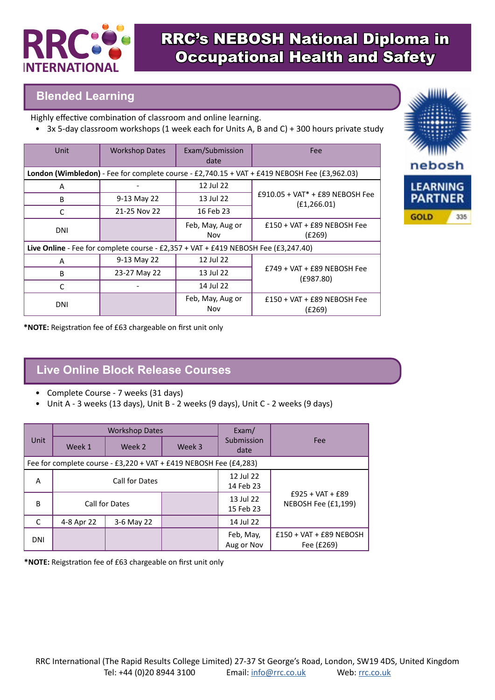

## **Blended Learning**

Highly effective combination of classroom and online learning.

• 3x 5-day classroom workshops (1 week each for Units A, B and C) + 300 hours private study

| Unit                                                                               | <b>Workshop Dates</b>                                                                        | Exam/Submission<br>date | <b>Fee</b>                                        |  |  |  |
|------------------------------------------------------------------------------------|----------------------------------------------------------------------------------------------|-------------------------|---------------------------------------------------|--|--|--|
|                                                                                    | London (Wimbledon) - Fee for complete course - £2,740.15 + VAT + £419 NEBOSH Fee (£3,962.03) |                         |                                                   |  |  |  |
| A                                                                                  |                                                                                              | 12 Jul 22               | $£910.05 + VAT* + £89 NEBOSH Fee$<br>(E1, 266.01) |  |  |  |
| B                                                                                  | 9-13 May 22                                                                                  | 13 Jul 22               |                                                   |  |  |  |
| C                                                                                  | 21-25 Nov 22                                                                                 | 16 Feb 23               |                                                   |  |  |  |
| DNI                                                                                |                                                                                              | Feb, May, Aug or<br>Nov | $£150 + VAT + £89 NEBOSH Fee$<br>(E269)           |  |  |  |
| Live Online - Fee for complete course - £2,357 + VAT + £419 NEBOSH Fee (£3,247.40) |                                                                                              |                         |                                                   |  |  |  |
| A                                                                                  | 9-13 May 22                                                                                  | 12 Jul 22               | $£749 + VAT + £89 NEBOSH Fee$<br>(E987.80)        |  |  |  |
| B                                                                                  | 23-27 May 22                                                                                 | 13 Jul 22               |                                                   |  |  |  |
| C                                                                                  |                                                                                              | 14 Jul 22               |                                                   |  |  |  |
| <b>DNI</b>                                                                         |                                                                                              | Feb, May, Aug or<br>Nov | $£150 + VAT + £89 NEBOSH Fee$<br>(E269)           |  |  |  |



**\*NOTE:** Reigstration fee of £63 chargeable on first unit only

## **Live Online Block Release Courses**

- Complete Course 7 weeks (31 days)
- Unit A 3 weeks (13 days), Unit B 2 weeks (9 days), Unit C 2 weeks (9 days)

| <b>Unit</b>                                                       | <b>Workshop Dates</b> |            |                        | Exam/                                     |                                         |
|-------------------------------------------------------------------|-----------------------|------------|------------------------|-------------------------------------------|-----------------------------------------|
|                                                                   | Week 1                | Week 2     | Week 3                 | Submission<br>date                        | Fee                                     |
| Fee for complete course - £3,220 + VAT + £419 NEBOSH Fee (£4,283) |                       |            |                        |                                           |                                         |
| A                                                                 | Call for Dates        |            |                        | 12 Jul 22<br>14 Feb 23                    |                                         |
| B                                                                 | Call for Dates        |            | 13 Jul 22<br>15 Feb 23 | $£925 + VAT + £89$<br>NEBOSH Fee (£1,199) |                                         |
| C                                                                 | 4-8 Apr 22            | 3-6 May 22 |                        | 14 Jul 22                                 |                                         |
| <b>DNI</b>                                                        |                       |            |                        | Feb, May,<br>Aug or Nov                   | $£150 + VAT + £89 NEBOSH$<br>Fee (£269) |

**\*NOTE:** Reigstration fee of £63 chargeable on first unit only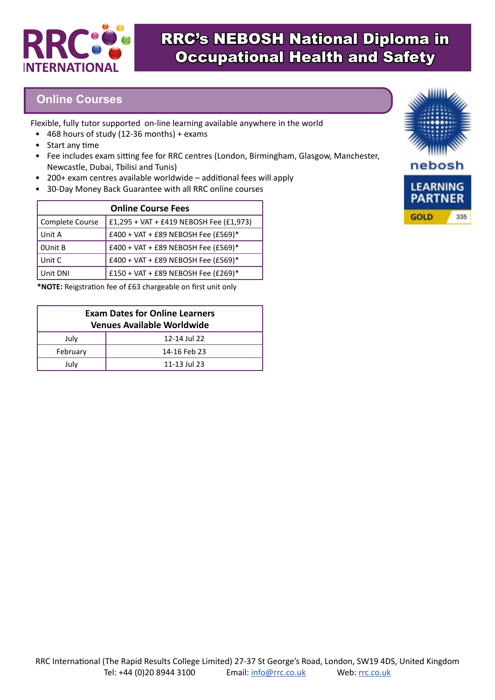

#### **Online Courses**

Flexible, fully tutor supported on-line learning available anywhere in the world

- 468 hours of study (12-36 months) + exams
- Start any time
- Fee includes exam sitting fee for RRC centres (London, Birmingham, Glasgow, Manchester, Newcastle, Dubai, Tbilisi and Tunis)
- 200+ exam centres available worldwide additional fees will apply
- 30-Day Money Back Guarantee with all RRC online courses

| <b>Online Course Fees</b> |                                         |  |  |  |
|---------------------------|-----------------------------------------|--|--|--|
| Complete Course           | £1,295 + VAT + £419 NEBOSH Fee (£1,973) |  |  |  |
| Unit A                    | £400 + VAT + £89 NEBOSH Fee (£569)*     |  |  |  |
| OUnit B                   | £400 + VAT + £89 NEBOSH Fee (£569)*     |  |  |  |
| Unit C                    | £400 + VAT + £89 NEBOSH Fee (£569)*     |  |  |  |
| Unit DNI                  | £150 + VAT + £89 NEBOSH Fee (£269)*     |  |  |  |

**\*NOTE:** Reigstration fee of £63 chargeable on first unit only

| <b>Exam Dates for Online Learners</b><br><b>Venues Available Worldwide</b> |              |  |  |
|----------------------------------------------------------------------------|--------------|--|--|
| July                                                                       | 12-14 Jul 22 |  |  |
| February                                                                   | 14-16 Feb 23 |  |  |
| July                                                                       | 11-13 Jul 23 |  |  |